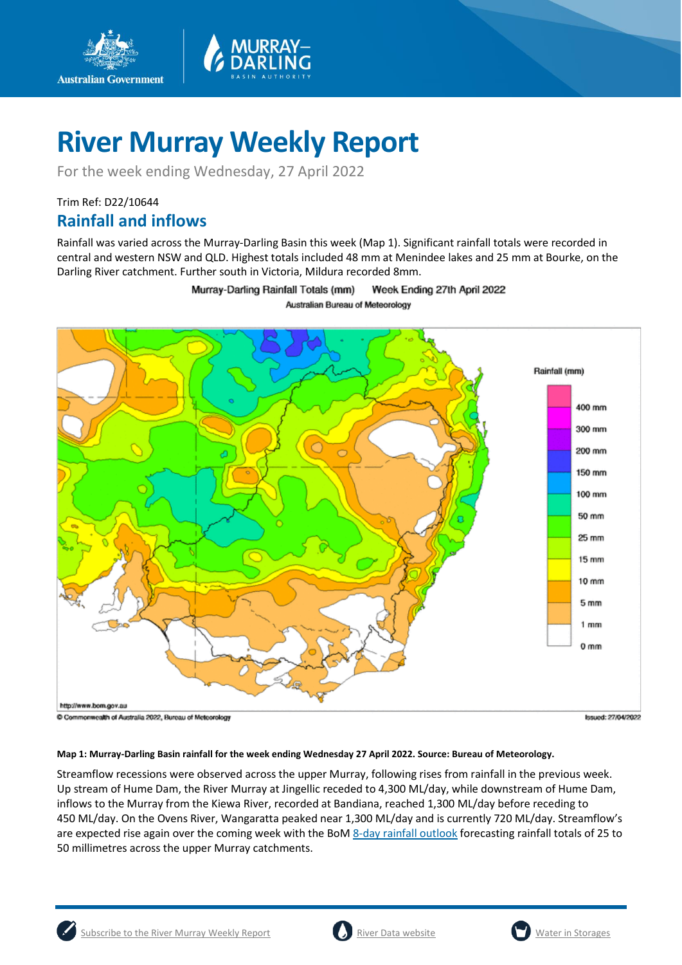

For the week ending Wednesday, 27 April 2022

## Trim Ref: D22/10644 **Rainfall and inflows**

**Australian Government** 

Rainfall was varied across the Murray-Darling Basin this week (Map 1). Significant rainfall totals were recorded in central and western NSW and QLD. Highest totals included 48 mm at Menindee lakes and 25 mm at Bourke, on the Darling River catchment. Further south in Victoria, Mildura recorded 8mm.

> Murray-Darling Rainfall Totals (mm) Week Ending 27th April 2022 Australian Bureau of Meteorology



#### **Map 1: Murray-Darling Basin rainfall for the week ending Wednesday 27 April 2022. Source: Bureau of Meteorology.**

Streamflow recessions were observed across the upper Murray, following rises from rainfall in the previous week. Up stream of Hume Dam, the River Murray at Jingellic receded to 4,300 ML/day, while downstream of Hume Dam, inflows to the Murray from the Kiewa River, recorded at Bandiana, reached 1,300 ML/day before receding to 450 ML/day. On the Ovens River, Wangaratta peaked near 1,300 ML/day and is currently 720 ML/day. Streamflow's are expected rise again over the coming week with the BoM [8-day rainfall outlook](http://www.bom.gov.au/jsp/watl/rainfall/pme.jsp) forecasting rainfall totals of 25 to 50 millimetres across the upper Murray catchments.



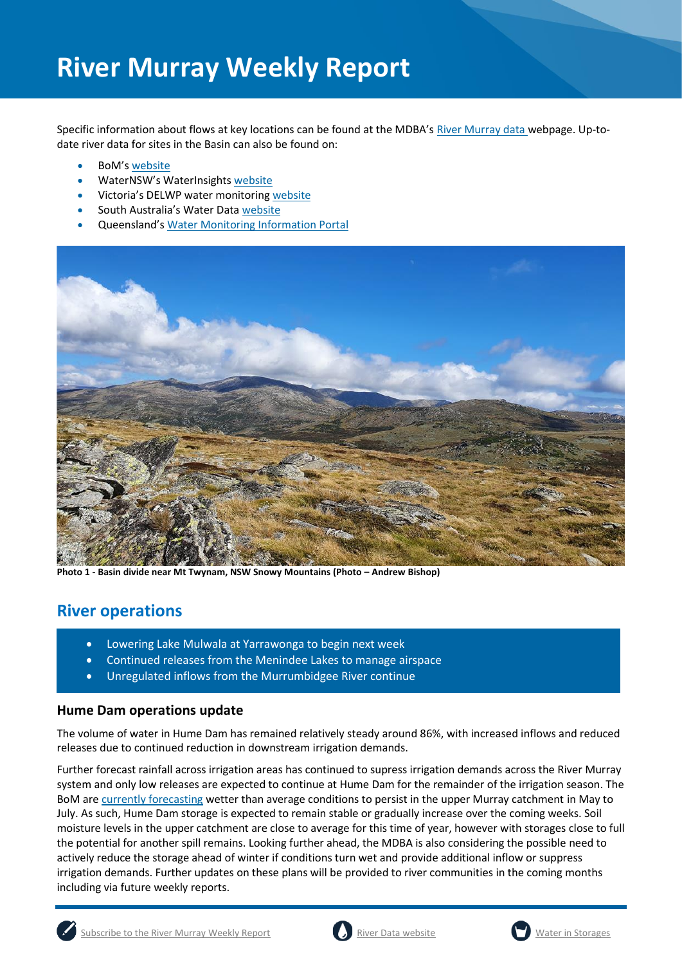Specific information about flows at key locations can be found at the MDBA's [River Murray data](https://riverdata.mdba.gov.au/system-view) webpage. Up-todate river data for sites in the Basin can also be found on:

- BoM's [website](http://www.bom.gov.au/cgi-bin/wrap_fwo.pl?IDV60151.html)
- WaterNSW's WaterInsights [website](https://waterinsights.waternsw.com.au/)
- Victoria's DELWP water monitoring [website](https://data.water.vic.gov.au/)
- South Australia's Water Data [website](https://water.data.sa.gov.au/Data/Map/Parameter/NoParameter/Location/Type/Interval/Latest)
- Queensland's [Water Monitoring Information Portal](https://water-monitoring.information.qld.gov.au/)



**Photo 1 - Basin divide near Mt Twynam, NSW Snowy Mountains (Photo – Andrew Bishop)**

## **River operations**

- Lowering Lake Mulwala at Yarrawonga to begin next week
- Continued releases from the Menindee Lakes to manage airspace
- Unregulated inflows from the Murrumbidgee River continue

#### **Hume Dam operations update**

The volume of water in Hume Dam has remained relatively steady around 86%, with increased inflows and reduced releases due to continued reduction in downstream irrigation demands.

Further forecast rainfall across irrigation areas has continued to supress irrigation demands across the River Murray system and only low releases are expected to continue at Hume Dam for the remainder of the irrigation season. The BoM ar[e currently forecasting](http://www.bom.gov.au/climate/outlooks/#/rainfall/median/seasonal/1) wetter than average conditions to persist in the upper Murray catchment in May to July. As such, Hume Dam storage is expected to remain stable or gradually increase over the coming weeks. Soil moisture levels in the upper catchment are close to average for this time of year, however with storages close to full the potential for another spill remains. Looking further ahead, the MDBA is also considering the possible need to actively reduce the storage ahead of winter if conditions turn wet and provide additional inflow or suppress irrigation demands. Further updates on these plans will be provided to river communities in the coming months including via future weekly reports.



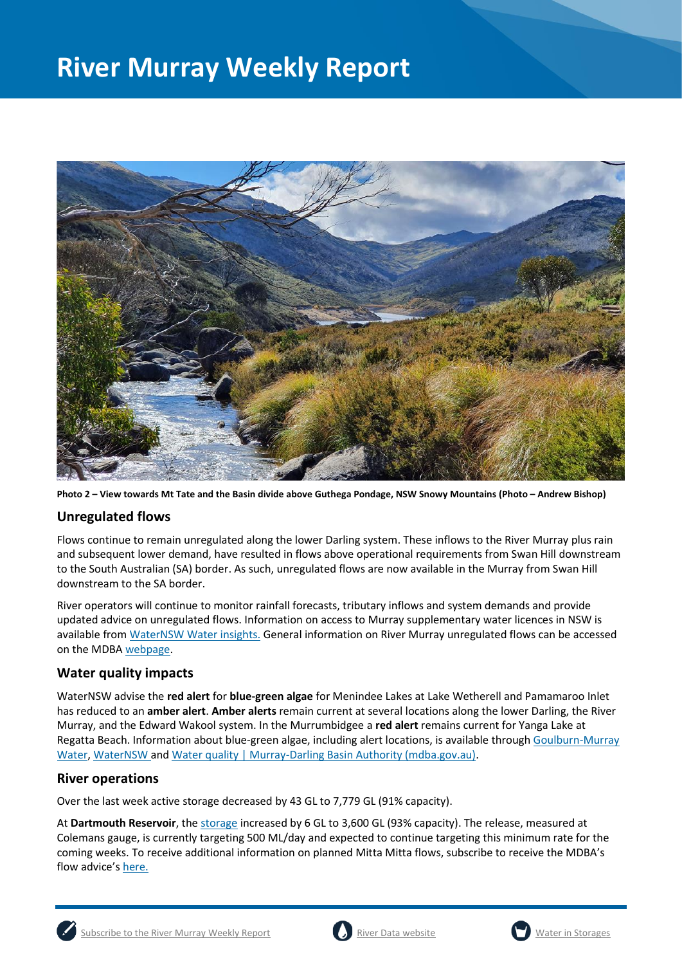

**Photo 2 – View towards Mt Tate and the Basin divide above Guthega Pondage, NSW Snowy Mountains (Photo – Andrew Bishop)**

#### **Unregulated flows**

Flows continue to remain unregulated along the lower Darling system. These inflows to the River Murray plus rain and subsequent lower demand, have resulted in flows above operational requirements from Swan Hill downstream to the South Australian (SA) border. As such, unregulated flows are now available in the Murray from Swan Hill downstream to the SA border.

River operators will continue to monitor rainfall forecasts, tributary inflows and system demands and provide updated advice on unregulated flows. Information on access to Murray supplementary water licences in NSW is available from [WaterNSW Water insights.](https://waterinsights.waternsw.com.au/11904-new-south-wales-murray-regulated-river/updates) General information on River Murray unregulated flows can be accessed on the MDB[A webpage.](https://www.mdba.gov.au/water-management/allocations-states-mdba/unregulated-flows-river-murray)

#### **Water quality impacts**

WaterNSW advise the **red alert** for **blue-green algae** for Menindee Lakes at Lake Wetherell and Pamamaroo Inlet has reduced to an **amber alert**. **Amber alerts** remain current at several locations along the lower Darling, the River Murray, and the Edward Wakool system. In the Murrumbidgee a **red alert** remains current for Yanga Lake at Regatta Beach. Information about blue-green algae, including alert locations, is available throug[h Goulburn-Murray](https://www.g-mwater.com.au/news/bga)  [Water,](https://www.g-mwater.com.au/news/bga) [WaterNSW](https://www.waternsw.com.au/water-quality/algae) and [Water quality | Murray-Darling Basin Authority \(mdba.gov.au\).](https://www.mdba.gov.au/water-management/mdbas-river-operations/water-quality)

#### **River operations**

Over the last week active storage decreased by 43 GL to 7,779 GL (91% capacity).

At **Dartmouth Reservoir**, the [storage](https://riverdata.mdba.gov.au/dartmouth-dam) increased by 6 GL to 3,600 GL (93% capacity). The release, measured at Colemans gauge, is currently targeting 500 ML/day and expected to continue targeting this minimum rate for the coming weeks. To receive additional information on planned Mitta Mitta flows, subscribe to receive the MDBA's flow advice's [here.](https://www.mdba.gov.au/water-management/murray-darling-reports-data/flow-advice)



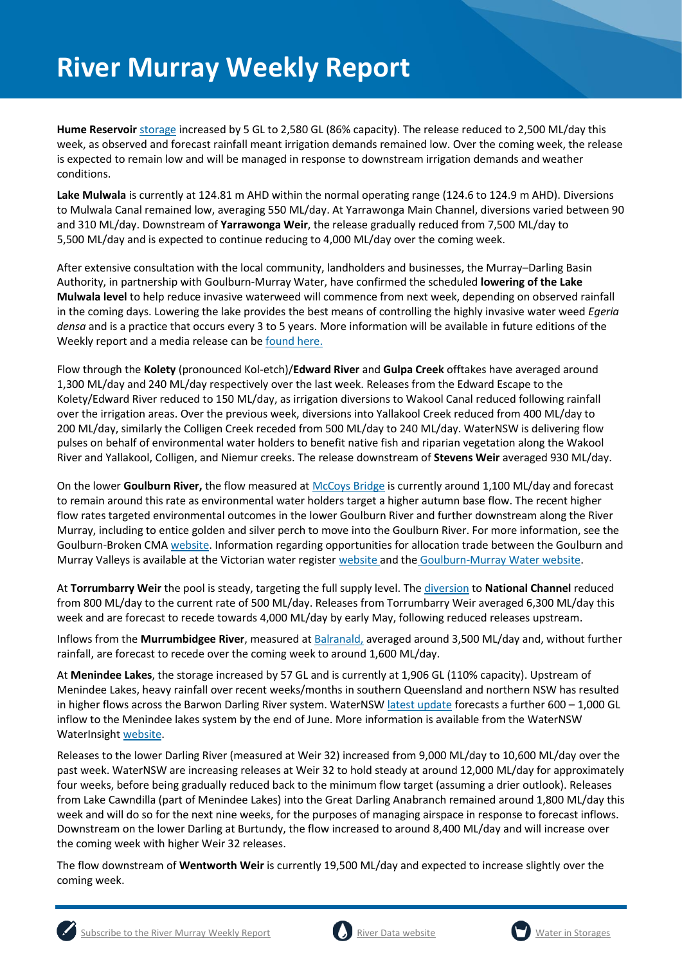**Hume Reservoir** [storage](https://livedata.mdba.gov.au/hume-dam) increased by 5 GL to 2,580 GL (86% capacity). The release reduced to 2,500 ML/day this week, as observed and forecast rainfall meant irrigation demands remained low. Over the coming week, the release is expected to remain low and will be managed in response to downstream irrigation demands and weather conditions.

**Lake Mulwala** is currently at 124.81 m AHD within the normal operating range (124.6 to 124.9 m AHD). Diversions to Mulwala Canal remained low, averaging 550 ML/day. At Yarrawonga Main Channel, diversions varied between 90 and 310 ML/day. Downstream of **Yarrawonga Weir**, the release gradually reduced from 7,500 ML/day to 5,500 ML/day and is expected to continue reducing to 4,000 ML/day over the coming week.

After extensive consultation with the local community, landholders and businesses, the Murray–Darling Basin Authority, in partnership with Goulburn-Murray Water, have confirmed the scheduled **lowering of the Lake Mulwala level** to help reduce invasive waterweed will commence from next week, depending on observed rainfall in the coming days. Lowering the lake provides the best means of controlling the highly invasive water weed *Egeria densa* and is a practice that occurs every 3 to 5 years. More information will be available in future editions of the Weekly report and a media release can be [found here.](https://www.mdba.gov.au/news-media-events/newsroom/media-centre/joint-media-release-lowering-lake-mulwala-yarrawonga-begin)

Flow through the **Kolety** (pronounced Kol-etch)/**Edward River** and **Gulpa Creek** offtakes have averaged around 1,300 ML/day and 240 ML/day respectively over the last week. Releases from the Edward Escape to the Kolety/Edward River reduced to 150 ML/day, as irrigation diversions to Wakool Canal reduced following rainfall over the irrigation areas. Over the previous week, diversions into Yallakool Creek reduced from 400 ML/day to 200 ML/day, similarly the Colligen Creek receded from 500 ML/day to 240 ML/day. WaterNSW is delivering flow pulses on behalf of environmental water holders to benefit native fish and riparian vegetation along the Wakool River and Yallakool, Colligen, and Niemur creeks. The release downstream of **Stevens Weir** averaged 930 ML/day.

On the lower **Goulburn River,** the flow measured a[t McCoys Bridge](https://riverdata.mdba.gov.au/mccoy-bridge) is currently around 1,100 ML/day and forecast to remain around this rate as environmental water holders target a higher autumn base flow. The recent higher flow rates targeted environmental outcomes in the lower Goulburn River and further downstream along the River Murray, including to entice golden and silver perch to move into the Goulburn River. For more information, see the Goulburn-Broken CMA [website.](https://www.gbcma.vic.gov.au/news_events/water-for-the-environment-to-give-fish-new-home-in-lower-goulburn-river.html) Information regarding opportunities for allocation trade between the Goulburn and Murray Valleys is available at the Victorian water register [website](http://waterregister.vic.gov.au/water-trading/allocation-trading) and the [Goulburn-Murray Water website.](https://www.g-mwater.com.au/water-resources/managing-water-storages)

At **Torrumbarry Weir** the pool is steady, targeting the full supply level. Th[e diversion](https://riverdata.mdba.gov.au/national-channel-ds-torrumbarry-headworks) to **National Channel** reduced from 800 ML/day to the current rate of 500 ML/day. Releases from Torrumbarry Weir averaged 6,300 ML/day this week and are forecast to recede towards 4,000 ML/day by early May, following reduced releases upstream.

Inflows from the **Murrumbidgee River**, measured a[t Balranald,](https://riverdata.mdba.gov.au/balranald-weir-downstream) averaged around 3,500 ML/day and, without further rainfall, are forecast to recede over the coming week to around 1,600 ML/day.

At **Menindee Lakes**, the storage increased by 57 GL and is currently at 1,906 GL (110% capacity). Upstream of Menindee Lakes, heavy rainfall over recent weeks/months in southern Queensland and northern NSW has resulted in higher flows across the Barwon Darling River system. WaterNSW [latest update](https://waterinsights.waternsw.com.au/api/water-source/v2/updates/1675/attachment) forecasts a further 600 – 1,000 GL inflow to the Menindee lakes system by the end of June. More information is available from the WaterNSW WaterInsigh[t website.](https://waterinsights.waternsw.com.au/12104-lower-darling-regulated-river/updates)

Releases to the lower Darling River (measured at Weir 32) increased from 9,000 ML/day to 10,600 ML/day over the past week. WaterNSW are increasing releases at Weir 32 to hold steady at around 12,000 ML/day for approximately four weeks, before being gradually reduced back to the minimum flow target (assuming a drier outlook). Releases from Lake Cawndilla (part of Menindee Lakes) into the Great Darling Anabranch remained around 1,800 ML/day this week and will do so for the next nine weeks, for the purposes of managing airspace in response to forecast inflows. Downstream on the lower Darling at Burtundy, the flow increased to around 8,400 ML/day and will increase over the coming week with higher Weir 32 releases.

The flow downstream of **Wentworth Weir** is currently 19,500 ML/day and expected to increase slightly over the coming week.





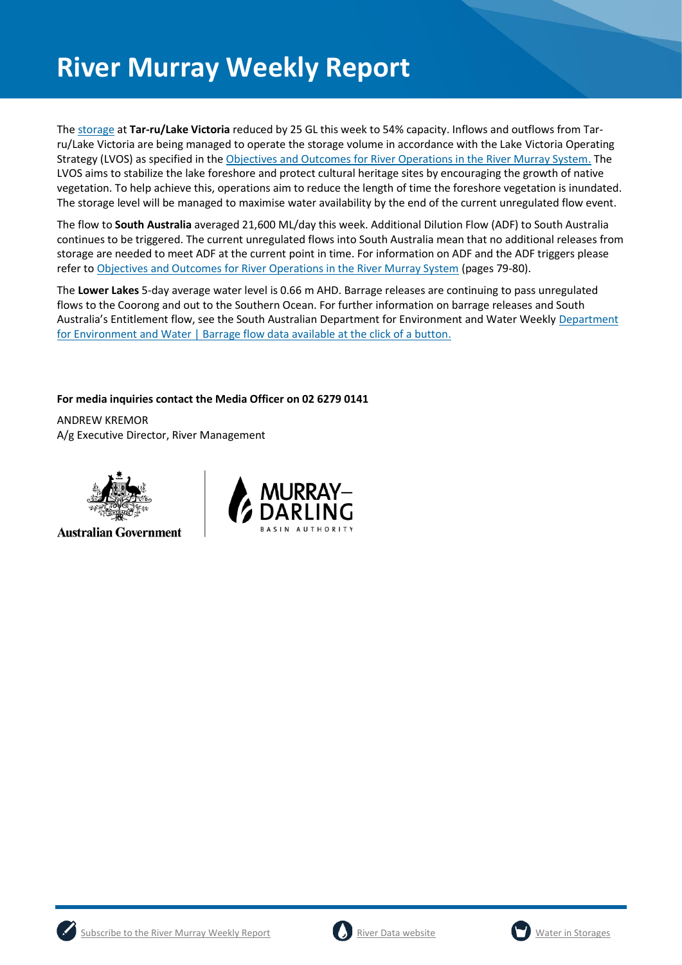The [storage](https://riverdata.mdba.gov.au/lake-victoria) at **Tar-ru/Lake Victoria** reduced by 25 GL this week to 54% capacity. Inflows and outflows from Tarru/Lake Victoria are being managed to operate the storage volume in accordance with the Lake Victoria Operating Strategy (LVOS) as specified in th[e Objectives and Outcomes for River Operations in the River Murray System.](https://www.mdba.gov.au/publications/mdba-reports/objectives-outcomes-river-operations-river-murray-system) The LVOS aims to stabilize the lake foreshore and protect cultural heritage sites by encouraging the growth of native vegetation. To help achieve this, operations aim to reduce the length of time the foreshore vegetation is inundated. The storage level will be managed to maximise water availability by the end of the current unregulated flow event.

The flow to **South Australia** averaged 21,600 ML/day this week. Additional Dilution Flow (ADF) to South Australia continues to be triggered. The current unregulated flows into South Australia mean that no additional releases from storage are needed to meet ADF at the current point in time. For information on ADF and the ADF triggers please refer t[o Objectives and Outcomes for River Operations in the River Murray System](https://www.mdba.gov.au/publications/mdba-reports/objectives-outcomes-river-operations-river-murray-system) (pages 79-80).

The **Lower Lakes** 5-day average water level is 0.66 m AHD. Barrage releases are continuing to pass unregulated flows to the Coorong and out to the Southern Ocean. For further information on barrage releases and South Australia's Entitlement flow, see the South Australian [Department](https://www.environment.sa.gov.au/news-hub/news/articles/2021/11/Daily-barrage-data) for Environment and Water Weekly Department [for Environment and Water | Barrage flow data available at the click of a button.](https://www.environment.sa.gov.au/news-hub/news/articles/2021/11/Daily-barrage-data)

**For media inquiries contact the Media Officer on 02 6279 0141**

ANDREW KREMOR A/g Executive Director, River Management



**Australian Government** 







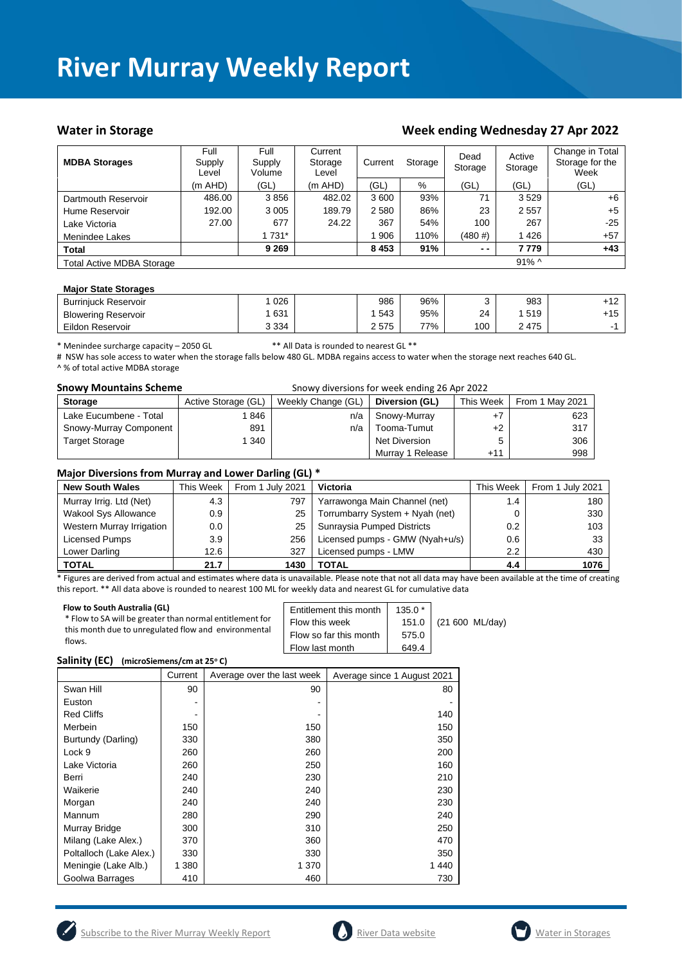#### Water in Storage Water in Storage Week ending Wednesday 27 Apr 2022

| <b>MDBA Storages</b>             | Full<br>Supply<br>Level | Full<br>Supply<br>Volume | Current<br>Storage<br>Level | Current | Storage | Dead<br>Storage | Active<br>Storage | Change in Total<br>Storage for the<br>Week |
|----------------------------------|-------------------------|--------------------------|-----------------------------|---------|---------|-----------------|-------------------|--------------------------------------------|
|                                  | $(m$ AHD)               | (GL)                     | $(m$ AHD)                   | (GL)    | %       | (GL)            | (GL)              | (GL)                                       |
| Dartmouth Reservoir              | 486.00                  | 3856                     | 482.02                      | 3600    | 93%     | 71              | 3529              | $+6$                                       |
| Hume Reservoir                   | 192.00                  | 3 0 0 5                  | 189.79                      | 2 5 8 0 | 86%     | 23              | 2557              | $+5$                                       |
| Lake Victoria                    | 27.00                   | 677                      | 24.22                       | 367     | 54%     | 100             | 267               | $-25$                                      |
| Menindee Lakes                   |                         | 1 731*                   |                             | 906     | 110%    | $(480 \#)$      | 1426              | $+57$                                      |
| <b>Total</b>                     |                         | 9 2 6 9                  |                             | 8453    | 91%     | $ -$            | 7 7 7 9           | $+43$                                      |
| <b>Total Active MDBA Storage</b> |                         |                          |                             |         |         |                 | $91\%$ ^          |                                            |

#### **Major State Storages**

| <b>Burrinjuck Reservoir</b> | 026     | 986  | 96% |     | 983  | +12   |
|-----------------------------|---------|------|-----|-----|------|-------|
| <b>Blowering Reservoir</b>  | 631     | 543  | 95% | 24  | 519  | $+15$ |
| Eildon Reservoir            | 3 3 3 4 | 2575 | 77% | 100 | 2475 |       |

\* Menindee surcharge capacity – 2050 GL \*\* All Data is rounded to nearest GL \*\*

# NSW has sole access to water when the storage falls below 480 GL. MDBA regains access to water when the storage next reaches 640 GL. ^ % of total active MDBA storage

| <b>Snowy Mountains Scheme</b> |                     | Snowy diversions for week ending 26 Apr 2022 |                  |           |                 |
|-------------------------------|---------------------|----------------------------------------------|------------------|-----------|-----------------|
| <b>Storage</b>                | Active Storage (GL) | Weekly Change (GL)                           | Diversion (GL)   | This Week | From 1 May 2021 |
| Lake Eucumbene - Total        | 846                 | n/a                                          | Snowy-Murray     | +7        | 623             |
| Snowy-Murray Component        | 891                 | n/a                                          | Tooma-Tumut      | $+2$      | 317             |
| <b>Target Storage</b>         | 1340                |                                              | Net Diversion    | 5         | 306             |
|                               |                     |                                              | Murray 1 Release | $+11$     | 998             |

#### **Major Diversions from Murray and Lower Darling (GL) \***

| <b>New South Wales</b>      | This Week | From 1 July 2021 | Victoria                        | This Week        | From 1 July 2021 |
|-----------------------------|-----------|------------------|---------------------------------|------------------|------------------|
| Murray Irrig. Ltd (Net)     | 4.3       | 797              | Yarrawonga Main Channel (net)   | 1.4              | 180              |
| <b>Wakool Sys Allowance</b> | 0.9       | 25               | Torrumbarry System + Nyah (net) | 0                | 330              |
| Western Murray Irrigation   | $0.0\,$   | 25               | Sunraysia Pumped Districts      | 0.2 <sub>0</sub> | 103              |
| Licensed Pumps              | 3.9       | 256              | Licensed pumps - GMW (Nyah+u/s) | 0.6              | 33               |
| Lower Darling               | 12.6      | 327              | Licensed pumps - LMW            | $2.2^{\circ}$    | 430              |
| <b>TOTAL</b>                | 21.7      | 1430             | <b>TOTAL</b>                    | 4.4              | 1076             |

\* Figures are derived from actual and estimates where data is unavailable. Please note that not all data may have been available at the time of creating this report. \*\* All data above is rounded to nearest 100 ML for weekly data and nearest GL for cumulative data

| Flow to South Australia (GL)<br>* Flow to SA will be greater than normal entitlement for<br>this month due to unregulated flow and environmental<br>flows. | Entitlement this month<br>Flow this week<br>Flow so far this month<br>Flow last month | $135.0*$<br>575.0<br>649.4 | 151.0 (21 600 ML/day) |
|------------------------------------------------------------------------------------------------------------------------------------------------------------|---------------------------------------------------------------------------------------|----------------------------|-----------------------|
|------------------------------------------------------------------------------------------------------------------------------------------------------------|---------------------------------------------------------------------------------------|----------------------------|-----------------------|

#### **Salinity (EC) (microSiemens/cm at 25<sup>o</sup> C)**

|                         | Current | Average over the last week | Average since 1 August 2021 |
|-------------------------|---------|----------------------------|-----------------------------|
| Swan Hill               | 90      | 90                         | 80                          |
| Euston                  |         |                            |                             |
| <b>Red Cliffs</b>       |         |                            | 140                         |
| Merbein                 | 150     | 150                        | 150                         |
| Burtundy (Darling)      | 330     | 380                        | 350                         |
| Lock 9                  | 260     | 260                        | 200                         |
| Lake Victoria           | 260     | 250                        | 160                         |
| Berri                   | 240     | 230                        | 210                         |
| Waikerie                | 240     | 240                        | 230                         |
| Morgan                  | 240     | 240                        | 230                         |
| Mannum                  | 280     | 290                        | 240                         |
| Murray Bridge           | 300     | 310                        | 250                         |
| Milang (Lake Alex.)     | 370     | 360                        | 470                         |
| Poltalloch (Lake Alex.) | 330     | 330                        | 350                         |
| Meningie (Lake Alb.)    | 1 3 8 0 | 1 370                      | 1440                        |
| Goolwa Barrages         | 410     | 460                        | 730                         |





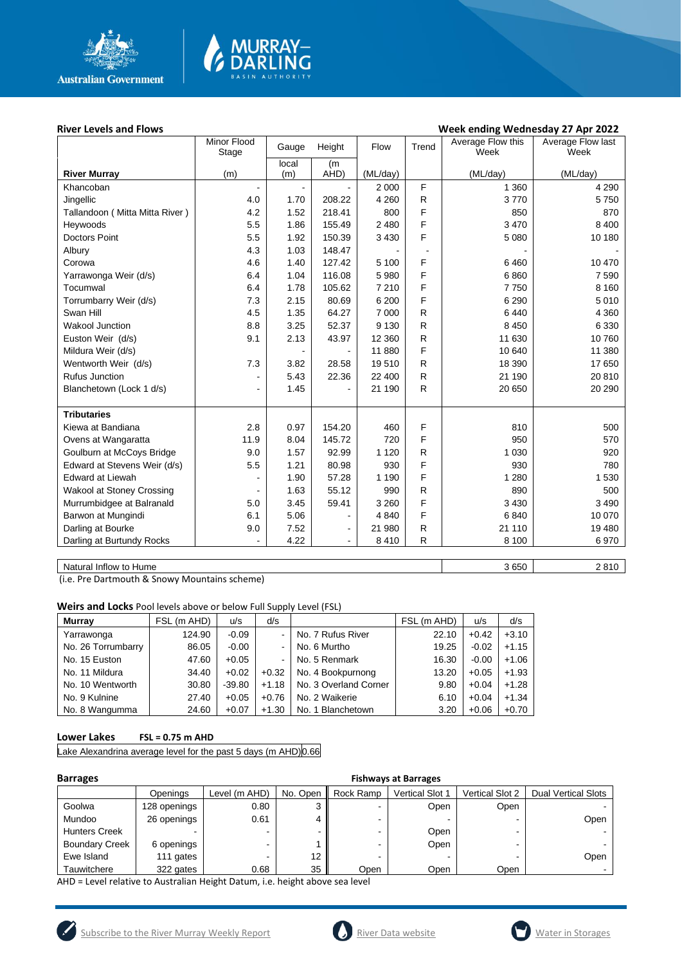

# **MURRAY-<br>DARLING**

#### River Levels and Flows **River Levels and Flows Week ending Wednesday 27 Apr 2022**

|                                  | Minor Flood<br>Stage     | Gauge          | Height                   | Flow     | Trend          | Average Flow this<br>Week | Average Flow last<br>Week |
|----------------------------------|--------------------------|----------------|--------------------------|----------|----------------|---------------------------|---------------------------|
|                                  |                          | local          | (m                       |          |                |                           |                           |
| <b>River Murray</b>              | (m)                      | (m)            | AHD)                     | (ML/day) |                | (ML/day)                  | (ML/day)                  |
| Khancoban                        | $\overline{\phantom{a}}$ | $\blacksquare$ |                          | 2 0 0 0  | F              | 1 3 6 0                   | 4 2 9 0                   |
| Jingellic                        | 4.0                      | 1.70           | 208.22                   | 4 2 6 0  | R              | 3770                      | 5750                      |
| Tallandoon ( Mitta Mitta River ) | 4.2                      | 1.52           | 218.41                   | 800      | F              | 850                       | 870                       |
| Heywoods                         | 5.5                      | 1.86           | 155.49                   | 2 4 8 0  | F              | 3 4 7 0                   | 8 4 0 0                   |
| <b>Doctors Point</b>             | 5.5                      | 1.92           | 150.39                   | 3 4 3 0  | F              | 5 0 8 0                   | 10 180                    |
| Albury                           | 4.3                      | 1.03           | 148.47                   |          | $\blacksquare$ |                           |                           |
| Corowa                           | 4.6                      | 1.40           | 127.42                   | 5 100    | F              | 6460                      | 10 470                    |
| Yarrawonga Weir (d/s)            | 6.4                      | 1.04           | 116.08                   | 5 9 8 0  | F              | 6860                      | 7 5 9 0                   |
| Tocumwal                         | 6.4                      | 1.78           | 105.62                   | 7 2 1 0  | F              | 7750                      | 8 1 6 0                   |
| Torrumbarry Weir (d/s)           | 7.3                      | 2.15           | 80.69                    | 6 200    | F              | 6 2 9 0                   | 5 0 1 0                   |
| Swan Hill                        | 4.5                      | 1.35           | 64.27                    | 7 0 0 0  | $\mathsf{R}$   | 6440                      | 4 3 6 0                   |
| <b>Wakool Junction</b>           | 8.8                      | 3.25           | 52.37                    | 9 1 3 0  | R              | 8 4 5 0                   | 6 3 3 0                   |
| Euston Weir (d/s)                | 9.1                      | 2.13           | 43.97                    | 12 3 60  | R              | 11 630                    | 10760                     |
| Mildura Weir (d/s)               |                          |                |                          | 11 880   | F              | 10 640                    | 11 380                    |
| Wentworth Weir (d/s)             | 7.3                      | 3.82           | 28.58                    | 19510    | R              | 18 390                    | 17 650                    |
| <b>Rufus Junction</b>            | -                        | 5.43           | 22.36                    | 22 400   | R.             | 21 190                    | 20 810                    |
| Blanchetown (Lock 1 d/s)         | $\overline{a}$           | 1.45           |                          | 21 190   | R.             | 20 650                    | 20 290                    |
|                                  |                          |                |                          |          |                |                           |                           |
| <b>Tributaries</b>               |                          |                |                          |          |                |                           |                           |
| Kiewa at Bandiana                | 2.8                      | 0.97           | 154.20                   | 460      | F              | 810                       | 500                       |
| Ovens at Wangaratta              | 11.9                     | 8.04           | 145.72                   | 720      | F              | 950                       | 570                       |
| Goulburn at McCoys Bridge        | 9.0                      | 1.57           | 92.99                    | 1 1 2 0  | R              | 1 0 3 0                   | 920                       |
| Edward at Stevens Weir (d/s)     | 5.5                      | 1.21           | 80.98                    | 930      | F              | 930                       | 780                       |
| <b>Edward at Liewah</b>          |                          | 1.90           | 57.28                    | 1 1 9 0  | F              | 1 2 8 0                   | 1 5 3 0                   |
| Wakool at Stoney Crossing        |                          | 1.63           | 55.12                    | 990      | R              | 890                       | 500                       |
| Murrumbidgee at Balranald        | 5.0                      | 3.45           | 59.41                    | 3 2 6 0  | F              | 3 4 3 0                   | 3 4 9 0                   |
| Barwon at Mungindi               | 6.1                      | 5.06           | $\overline{a}$           | 4 8 4 0  | F              | 6840                      | 10 070                    |
| Darling at Bourke                | 9.0                      | 7.52           | $\overline{\phantom{a}}$ | 21 980   | R              | 21 110                    | 19 480                    |
| Darling at Burtundy Rocks        |                          | 4.22           | $\blacksquare$           | 8 4 1 0  | R              | 8 1 0 0                   | 6970                      |
|                                  |                          |                |                          |          |                |                           |                           |

Natural Inflow to Hume 2810

(i.e. Pre Dartmouth & Snowy Mountains scheme)

**Weirs and Locks** Pool levels above or below Full Supply Level (FSL)

| Murrav             | FSL (m AHD) | u/s      | d/s                      |                       | FSL (m AHD) | u/s     | d/s     |
|--------------------|-------------|----------|--------------------------|-----------------------|-------------|---------|---------|
| Yarrawonga         | 124.90      | $-0.09$  |                          | No. 7 Rufus River     | 22.10       | $+0.42$ | $+3.10$ |
| No. 26 Torrumbarry | 86.05       | $-0.00$  |                          | No. 6 Murtho          | 19.25       | $-0.02$ | $+1.15$ |
| No. 15 Euston      | 47.60       | $+0.05$  | $\overline{\phantom{0}}$ | No. 5 Renmark         | 16.30       | $-0.00$ | $+1.06$ |
| No. 11 Mildura     | 34.40       | $+0.02$  | $+0.32$                  | No. 4 Bookpurnong     | 13.20       | $+0.05$ | $+1.93$ |
| No. 10 Wentworth   | 30.80       | $-39.80$ | $+1.18$                  | No. 3 Overland Corner | 9.80        | $+0.04$ | $+1.28$ |
| No. 9 Kulnine      | 27.40       | $+0.05$  | $+0.76$                  | No. 2 Waikerie        | 6.10        | $+0.04$ | $+1.34$ |
| No. 8 Wangumma     | 24.60       | $+0.07$  | $+1.30$                  | No. 1 Blanchetown     | 3.20        | $+0.06$ | $+0.70$ |

#### **Lower Lakes FSL = 0.75 m AHD**

Lake Alexandrina average level for the past 5 days (m AHD) 0.66

| <b>Barrages</b>       |              | <b>Fishways at Barrages</b> |          |                          |                        |                 |                            |  |  |
|-----------------------|--------------|-----------------------------|----------|--------------------------|------------------------|-----------------|----------------------------|--|--|
|                       | Openings     | Level (m AHD)               | No. Open | Rock Ramp                | <b>Vertical Slot 1</b> | Vertical Slot 2 | <b>Dual Vertical Slots</b> |  |  |
| Goolwa                | 128 openings | 0.80                        | ົ        | $\overline{\phantom{0}}$ | Open                   | Open            |                            |  |  |
| Mundoo                | 26 openings  | 0.61                        |          |                          |                        |                 | Open                       |  |  |
| <b>Hunters Creek</b>  |              |                             |          |                          | Open                   |                 |                            |  |  |
| <b>Boundary Creek</b> | 6 openings   |                             |          | -                        | Open                   |                 |                            |  |  |
| Ewe Island            | 111 gates    |                             | 12       |                          |                        |                 | Open                       |  |  |
| Tauwitchere           | 322 gates    | 0.68                        | 35       | Open                     | Open                   | Open            |                            |  |  |

AHD = Level relative to Australian Height Datum, i.e. height above sea level